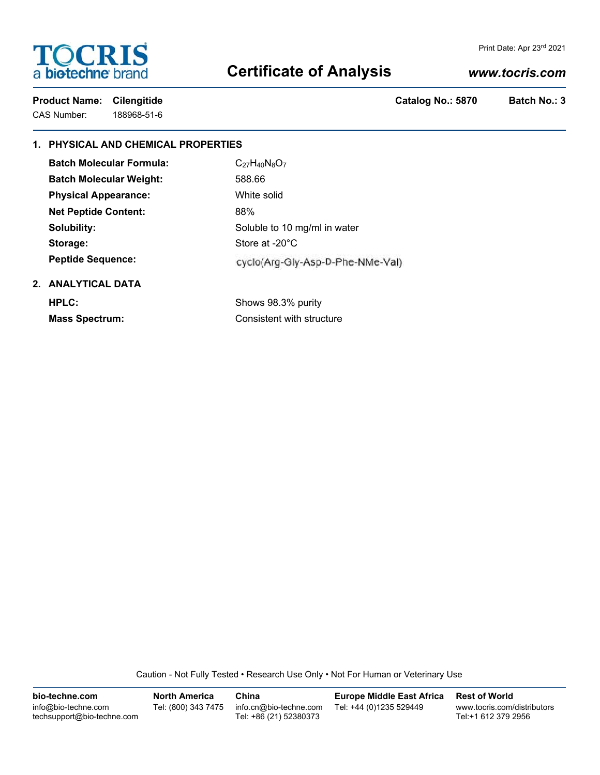# **TOCRIS** a biotechne brand

### Print Date: Apr 23rd 2021

# **Certificate of Analysis**

# *www.tocris.com*

CAS Number: 188968-51-6

Product Name: Cilengitide Catalog No.: 5870 Batch No.: 3

# **1. PHYSICAL AND CHEMICAL PROPERTIES**

| <b>Batch Molecular Formula:</b> | $C_{27}H_{40}N_8O_7$             |
|---------------------------------|----------------------------------|
| <b>Batch Molecular Weight:</b>  | 588.66                           |
| <b>Physical Appearance:</b>     | White solid                      |
| <b>Net Peptide Content:</b>     | 88%                              |
| Solubility:                     | Soluble to 10 mg/ml in water     |
| Storage:                        | Store at -20°C                   |
| <b>Peptide Sequence:</b>        | cyclo(Arg-Gly-Asp-D-Phe-NMe-Val) |
| 2. ANALYTICAL DATA              |                                  |

**HPLC:** Shows 98.3% purity

**Mass Spectrum:** Consistent with structure

Caution - Not Fully Tested • Research Use Only • Not For Human or Veterinary Use

| bio-techne.com                                    | North America       | China                                            | <b>Europe Middle East Africa</b> | <b>Rest of World</b>                               |
|---------------------------------------------------|---------------------|--------------------------------------------------|----------------------------------|----------------------------------------------------|
| info@bio-techne.com<br>techsupport@bio-techne.com | Tel: (800) 343 7475 | info.cn@bio-techne.com<br>Tel: +86 (21) 52380373 | Tel: +44 (0)1235 529449          | www.tocris.com/distributors<br>Tel:+1 612 379 2956 |